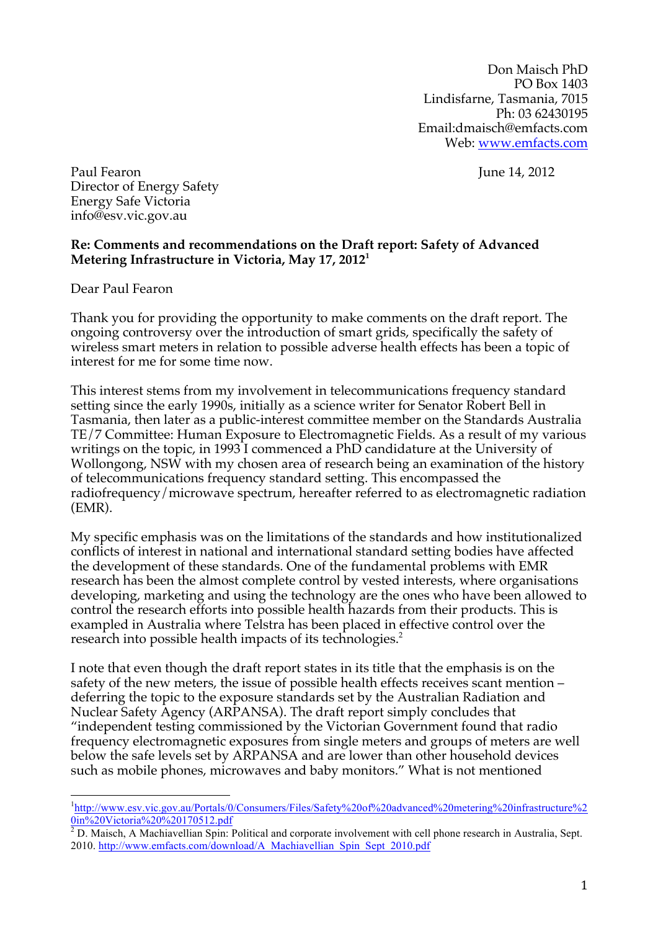Don Maisch PhD PO Box 1403 Lindisfarne, Tasmania, 7015 Ph: 03 62430195 Email:dmaisch@emfacts.com Web: www.emfacts.com

Paul Fearon June 14, 2012 Director of Energy Safety Energy Safe Victoria info@esv.vic.gov.au

## **Re: Comments and recommendations on the Draft report: Safety of Advanced Metering Infrastructure in Victoria, May 17, 2012<sup>1</sup>**

Dear Paul Fearon

Thank you for providing the opportunity to make comments on the draft report. The ongoing controversy over the introduction of smart grids, specifically the safety of wireless smart meters in relation to possible adverse health effects has been a topic of interest for me for some time now.

This interest stems from my involvement in telecommunications frequency standard setting since the early 1990s, initially as a science writer for Senator Robert Bell in Tasmania, then later as a public-interest committee member on the Standards Australia TE/7 Committee: Human Exposure to Electromagnetic Fields. As a result of my various writings on the topic, in 1993 I commenced a PhD candidature at the University of Wollongong, NSW with my chosen area of research being an examination of the history of telecommunications frequency standard setting. This encompassed the radiofrequency/microwave spectrum, hereafter referred to as electromagnetic radiation (EMR).

My specific emphasis was on the limitations of the standards and how institutionalized conflicts of interest in national and international standard setting bodies have affected the development of these standards. One of the fundamental problems with EMR research has been the almost complete control by vested interests, where organisations developing, marketing and using the technology are the ones who have been allowed to control the research efforts into possible health hazards from their products. This is exampled in Australia where Telstra has been placed in effective control over the research into possible health impacts of its technologies.<sup>2</sup>

I note that even though the draft report states in its title that the emphasis is on the safety of the new meters, the issue of possible health effects receives scant mention – deferring the topic to the exposure standards set by the Australian Radiation and Nuclear Safety Agency (ARPANSA). The draft report simply concludes that "independent testing commissioned by the Victorian Government found that radio frequency electromagnetic exposures from single meters and groups of meters are well below the safe levels set by ARPANSA and are lower than other household devices such as mobile phones, microwaves and baby monitors." What is not mentioned

<sup>-&</sup>lt;br><sup>1</sup>http://www.esv.vic.gov.au/Portals/0/Consumers/Files/Safety%20of%20advanced%20metering%20infrastructure%2

<sup>0</sup>in%20Victoria%20%20170512.pdf <sup>2</sup> D. Maisch, A Machiavellian Spin: Political and corporate involvement with cell phone research in Australia, Sept. 2010. http://www.emfacts.com/download/A\_Machiavellian\_Spin\_Sept\_2010.pdf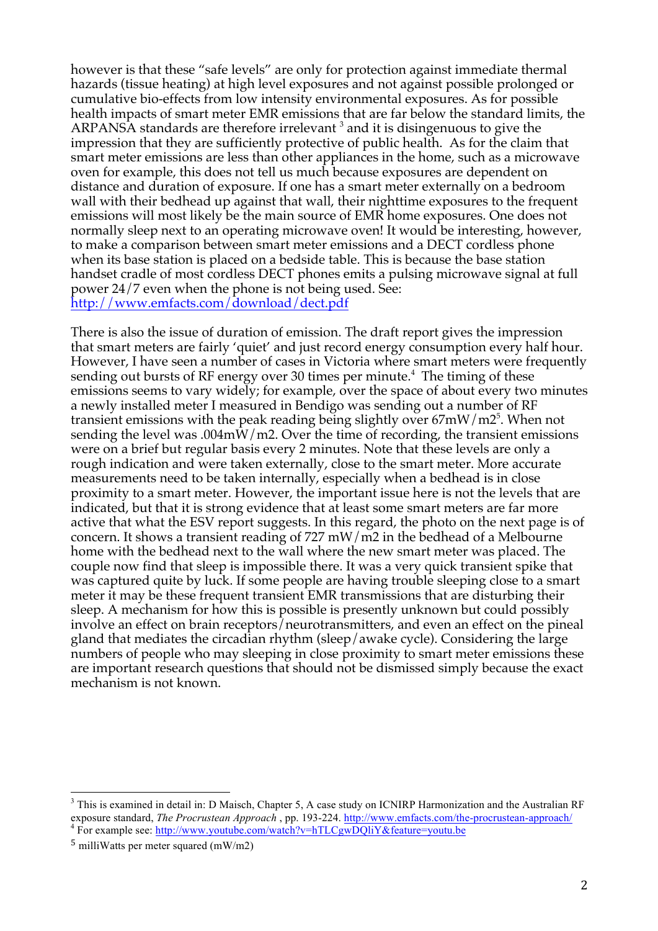however is that these "safe levels" are only for protection against immediate thermal hazards (tissue heating) at high level exposures and not against possible prolonged or cumulative bio-effects from low intensity environmental exposures. As for possible health impacts of smart meter EMR emissions that are far below the standard limits, the ARPANSA standards are therefore irrelevant  $3$  and it is disingenuous to give the impression that they are sufficiently protective of public health. As for the claim that smart meter emissions are less than other appliances in the home, such as a microwave oven for example, this does not tell us much because exposures are dependent on distance and duration of exposure. If one has a smart meter externally on a bedroom wall with their bedhead up against that wall, their nighttime exposures to the frequent emissions will most likely be the main source of EMR home exposures. One does not normally sleep next to an operating microwave oven! It would be interesting, however, to make a comparison between smart meter emissions and a DECT cordless phone when its base station is placed on a bedside table. This is because the base station handset cradle of most cordless DECT phones emits a pulsing microwave signal at full power 24/7 even when the phone is not being used. See: http://www.emfacts.com/download/dect.pdf

There is also the issue of duration of emission. The draft report gives the impression that smart meters are fairly 'quiet' and just record energy consumption every half hour. However, I have seen a number of cases in Victoria where smart meters were frequently sending out bursts of RF energy over 30 times per minute. $^4$  The timing of these emissions seems to vary widely; for example, over the space of about every two minutes a newly installed meter I measured in Bendigo was sending out a number of RF transient emissions with the peak reading being slightly over 67mW/m2<sup>5</sup>. When not sending the level was .004mW/m2. Over the time of recording, the transient emissions were on a brief but regular basis every 2 minutes. Note that these levels are only a rough indication and were taken externally, close to the smart meter. More accurate measurements need to be taken internally, especially when a bedhead is in close proximity to a smart meter. However, the important issue here is not the levels that are indicated, but that it is strong evidence that at least some smart meters are far more active that what the ESV report suggests. In this regard, the photo on the next page is of concern. It shows a transient reading of 727 mW/m2 in the bedhead of a Melbourne home with the bedhead next to the wall where the new smart meter was placed. The couple now find that sleep is impossible there. It was a very quick transient spike that was captured quite by luck. If some people are having trouble sleeping close to a smart meter it may be these frequent transient EMR transmissions that are disturbing their sleep. A mechanism for how this is possible is presently unknown but could possibly involve an effect on brain receptors/neurotransmitters, and even an effect on the pineal gland that mediates the circadian rhythm (sleep/awake cycle). Considering the large numbers of people who may sleeping in close proximity to smart meter emissions these are important research questions that should not be dismissed simply because the exact mechanism is not known.

<sup>&</sup>lt;sup>3</sup> This is examined in detail in: D Maisch, Chapter 5, A case study on ICNIRP Harmonization and the Australian RF exposure standard, *The Procrustean Approach* , pp. 193-224. http://www.emfacts.com/the-procrustean-approach/ <sup>4</sup> For example see: http://www.youtube.com/watch?v=hTLCgwDQliY&feature=youtu.be

 $5$  milliWatts per meter squared (mW/m2)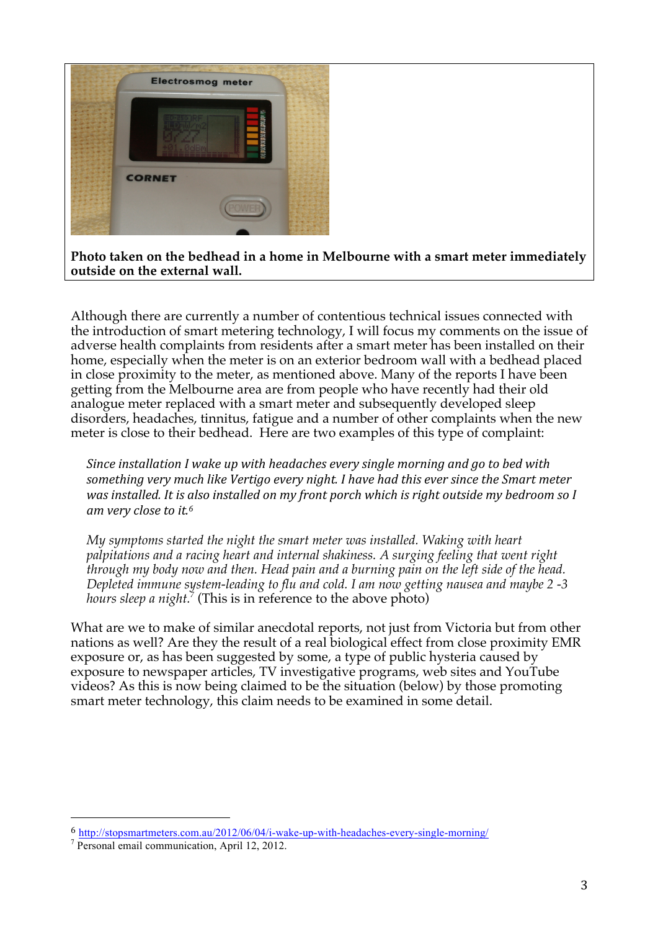

Although there are currently a number of contentious technical issues connected with the introduction of smart metering technology, I will focus my comments on the issue of adverse health complaints from residents after a smart meter has been installed on their home, especially when the meter is on an exterior bedroom wall with a bedhead placed in close proximity to the meter, as mentioned above. Many of the reports I have been getting from the Melbourne area are from people who have recently had their old analogue meter replaced with a smart meter and subsequently developed sleep disorders, headaches, tinnitus, fatigue and a number of other complaints when the new meter is close to their bedhead. Here are two examples of this type of complaint:

*Since installation I wake up with headaches every single morning and go to bed with* something very much like Vertigo every night. I have had this ever since the Smart meter *was installed. It is also installed on my front porch which is right outside my bedroom so I* am very close to it.<sup>6</sup>

*My symptoms started the night the smart meter was installed. Waking with heart palpitations and a racing heart and internal shakiness. A surging feeling that went right through my body now and then. Head pain and a burning pain on the left side of the head. Depleted immune system-leading to flu and cold. I am now getting nausea and maybe 2 -3 hours sleep a night.*<sup>7</sup> (This is in reference to the above photo)

What are we to make of similar anecdotal reports, not just from Victoria but from other nations as well? Are they the result of a real biological effect from close proximity EMR exposure or, as has been suggested by some, a type of public hysteria caused by exposure to newspaper articles, TV investigative programs, web sites and YouTube videos? As this is now being claimed to be the situation (below) by those promoting smart meter technology, this claim needs to be examined in some detail.

!!!!!!!!!!!!!!!!!!!!!!!!!!!!!!!!!!!!!!!!!!!!!!!!!!!!!!!

<sup>6</sup> http://stopsmartmeters.com.au/2012/06/04/i-wake-up-with-headaches-every-single-morning/

<sup>7</sup> Personal email communication, April 12, 2012.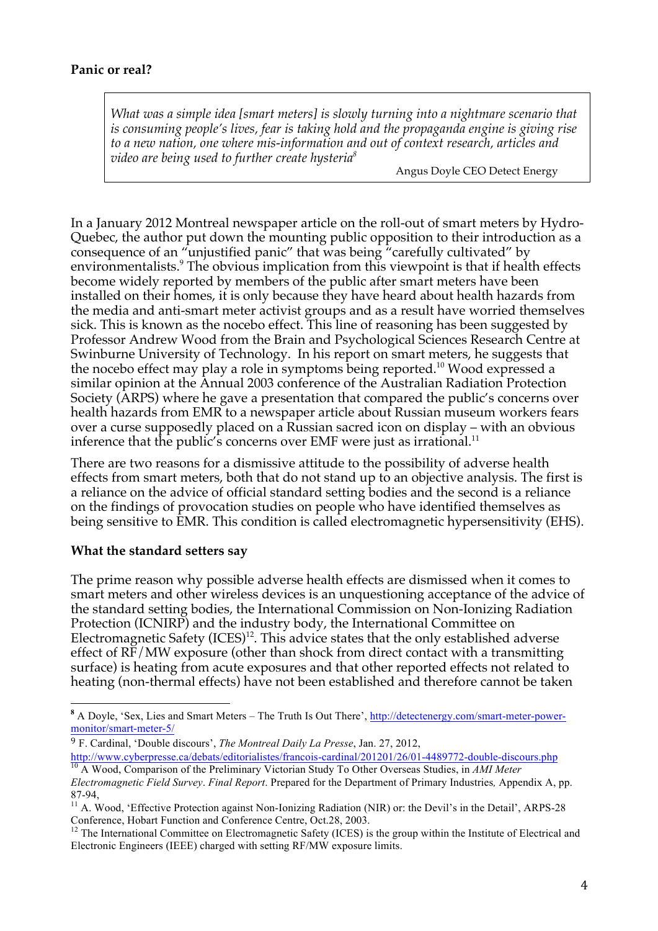*What was a simple idea [smart meters] is slowly turning into a nightmare scenario that is consuming people's lives, fear is taking hold and the propaganda engine is giving rise to a new nation, one where mis-information and out of context research, articles and video are being used to further create hysteria8*

Angus Doyle CEO Detect Energy

In a January 2012 Montreal newspaper article on the roll-out of smart meters by Hydro-Quebec, the author put down the mounting public opposition to their introduction as a consequence of an "unjustified panic" that was being "carefully cultivated" by environmentalists.<sup>9</sup> The obvious implication from this viewpoint is that if health effects become widely reported by members of the public after smart meters have been installed on their homes, it is only because they have heard about health hazards from the media and anti-smart meter activist groups and as a result have worried themselves sick. This is known as the nocebo effect. This line of reasoning has been suggested by Professor Andrew Wood from the Brain and Psychological Sciences Research Centre at Swinburne University of Technology. In his report on smart meters, he suggests that the nocebo effect may play a role in symptoms being reported.<sup>10</sup> Wood expressed a similar opinion at the Annual 2003 conference of the Australian Radiation Protection Society (ARPS) where he gave a presentation that compared the public's concerns over health hazards from EMR to a newspaper article about Russian museum workers fears over a curse supposedly placed on a Russian sacred icon on display – with an obvious inference that the public's concerns over EMF were just as irrational.<sup>11</sup>

There are two reasons for a dismissive attitude to the possibility of adverse health effects from smart meters, both that do not stand up to an objective analysis. The first is a reliance on the advice of official standard setting bodies and the second is a reliance on the findings of provocation studies on people who have identified themselves as being sensitive to EMR. This condition is called electromagnetic hypersensitivity (EHS).

### **What the standard setters say**

The prime reason why possible adverse health effects are dismissed when it comes to smart meters and other wireless devices is an unquestioning acceptance of the advice of the standard setting bodies, the International Commission on Non-Ionizing Radiation Protection (ICNIRP) and the industry body, the International Committee on Electromagnetic Safety  $(ICES)^{12}$ . This advice states that the only established adverse effect of RF/MW exposure (other than shock from direct contact with a transmitting surface) is heating from acute exposures and that other reported effects not related to heating (non-thermal effects) have not been established and therefore cannot be taken

<sup>&</sup>lt;sup>8</sup> A Doyle, 'Sex, Lies and Smart Meters – The Truth Is Out There', http://detectenergy.com/smart-meter-powermonitor/smart-meter-5/

<sup>9</sup> F. Cardinal, 'Double discours', *The Montreal Daily La Presse*, Jan. 27, 2012,

http://www.cyberpresse.ca/debats/editorialistes/francois-cardinal/201201/26/01-4489772-double-discours.php <sup>10</sup> A Wood, Comparison of the Preliminary Victorian Study To Other Overseas Studies, in *AMI Meter* 

*Electromagnetic Field Survey*. *Final Report*. Prepared for the Department of Primary Industries*,* Appendix A, pp. 87-94,<br><sup>11</sup> A. Wood, 'Effective Protection against Non-Ionizing Radiation (NIR) or: the Devil's in the Detail', ARPS-28

Conference, Hobart Function and Conference Centre, Oct.28, 2003.

 $12$  The International Committee on Electromagnetic Safety (ICES) is the group within the Institute of Electrical and Electronic Engineers (IEEE) charged with setting RF/MW exposure limits.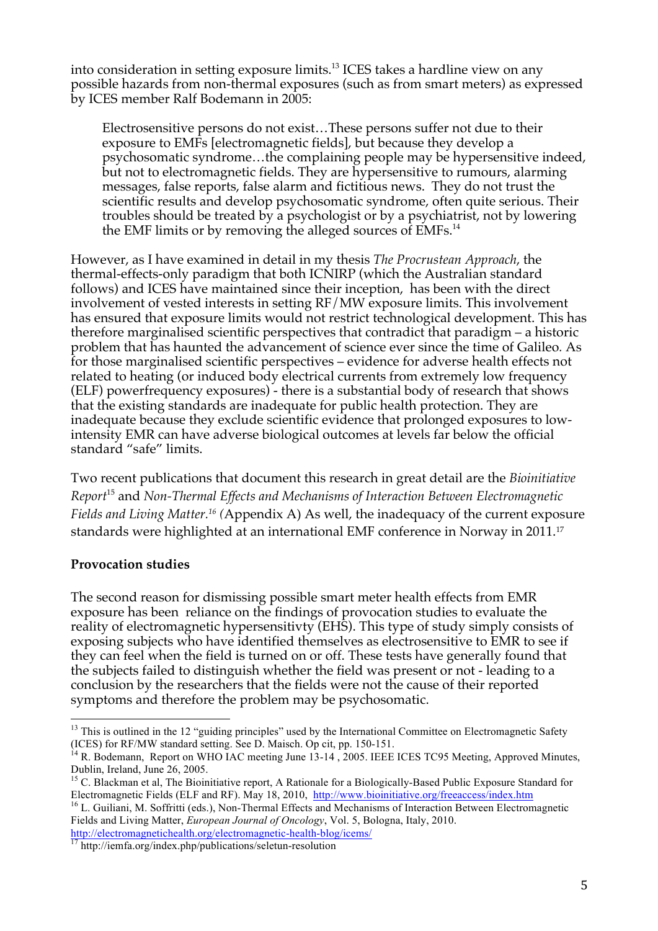into consideration in setting exposure limits. <sup>13</sup> ICES takes a hardline view on any possible hazards from non-thermal exposures (such as from smart meters) as expressed by ICES member Ralf Bodemann in 2005:

Electrosensitive persons do not exist…These persons suffer not due to their exposure to EMFs [electromagnetic fields], but because they develop a psychosomatic syndrome…the complaining people may be hypersensitive indeed, but not to electromagnetic fields. They are hypersensitive to rumours, alarming messages, false reports, false alarm and fictitious news. They do not trust the scientific results and develop psychosomatic syndrome, often quite serious. Their troubles should be treated by a psychologist or by a psychiatrist, not by lowering the EMF limits or by removing the alleged sources of EMFs.<sup>14</sup>

However, as I have examined in detail in my thesis *The Procrustean Approach*, the thermal-effects-only paradigm that both ICNIRP (which the Australian standard follows) and ICES have maintained since their inception, has been with the direct involvement of vested interests in setting RF/MW exposure limits. This involvement has ensured that exposure limits would not restrict technological development. This has therefore marginalised scientific perspectives that contradict that paradigm – a historic problem that has haunted the advancement of science ever since the time of Galileo*.* As for those marginalised scientific perspectives – evidence for adverse health effects not related to heating (or induced body electrical currents from extremely low frequency (ELF) powerfrequency exposures) - there is a substantial body of research that shows that the existing standards are inadequate for public health protection. They are inadequate because they exclude scientific evidence that prolonged exposures to lowintensity EMR can have adverse biological outcomes at levels far below the official standard "safe" limits.

Two recent publications that document this research in great detail are the *Bioinitiative Report*<sup>15</sup> and *Non\$Thermal,Effects,and,Mechanisms,of,Interaction,Between Electromagnetic, Fields and Living Matter.<sup>16</sup>* (Appendix A) As well, the inadequacy of the current exposure standards were highlighted at an international EMF conference in Norway in 2011.<sup>17</sup>

# **Provocation studies**

The second reason for dismissing possible smart meter health effects from EMR exposure has been reliance on the findings of provocation studies to evaluate the reality of electromagnetic hypersensitivty (EHS). This type of study simply consists of exposing subjects who have identified themselves as electrosensitive to EMR to see if they can feel when the field is turned on or off. These tests have generally found that the subjects failed to distinguish whether the field was present or not - leading to a conclusion by the researchers that the fields were not the cause of their reported symptoms and therefore the problem may be psychosomatic.

<sup>&</sup>lt;sup>13</sup> This is outlined in the 12 "guiding principles" used by the International Committee on Electromagnetic Safety

<sup>(</sup>ICES) for RF/MW standard setting. See D. Maisch. Op cit, pp. 150-151.<br><sup>14</sup> R. Bodemann, Report on WHO IAC meeting June 13-14, 2005. IEEE ICES TC95 Meeting, Approved Minutes, Dublin, Ireland, June 26, 2005.

<sup>&</sup>lt;sup>15</sup> C. Blackman et al, The Bioinitiative report, A Rationale for a Biologically-Based Public Exposure Standard for Electromagnetic Fields (ELF and RF). May 18, 2010, http://www.bioinitiative.org/freeaccess/index.htm <sup>16</sup> L. Guiliani, M. Soffritti (eds.), Non-Thermal Effects and Mechanisms of Interaction Between Electromagnetic

Fields and Living Matter, *European Journal of Oncology*, Vol. 5, Bologna, Italy, 2010.

http://electromagnetichealth.org/electromagnetic-health-blog/icems/ <sup>17</sup> http://iemfa.org/index.php/publications/seletun-resolution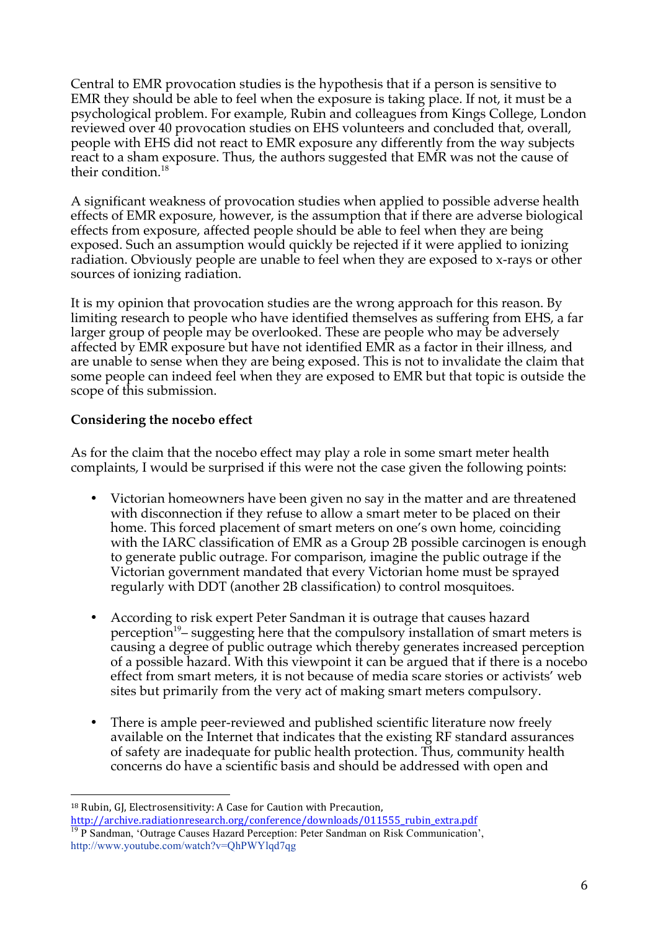Central to EMR provocation studies is the hypothesis that if a person is sensitive to EMR they should be able to feel when the exposure is taking place. If not, it must be a psychological problem. For example, Rubin and colleagues from Kings College, London reviewed over 40 provocation studies on EHS volunteers and concluded that, overall, people with EHS did not react to EMR exposure any differently from the way subjects react to a sham exposure. Thus, the authors suggested that EMR was not the cause of their condition.<sup>18</sup>

A significant weakness of provocation studies when applied to possible adverse health effects of EMR exposure, however, is the assumption that if there are adverse biological effects from exposure, affected people should be able to feel when they are being exposed. Such an assumption would quickly be rejected if it were applied to ionizing radiation. Obviously people are unable to feel when they are exposed to x-rays or other sources of ionizing radiation.

It is my opinion that provocation studies are the wrong approach for this reason. By limiting research to people who have identified themselves as suffering from EHS, a far larger group of people may be overlooked. These are people who may be adversely affected by EMR exposure but have not identified EMR as a factor in their illness, and are unable to sense when they are being exposed. This is not to invalidate the claim that some people can indeed feel when they are exposed to EMR but that topic is outside the scope of this submission.

# **Considering the nocebo effect**

!!!!!!!!!!!!!!!!!!!!!!!!!!!!!!!!!!!!!!!!!!!!!!!!!!!!!!!

As for the claim that the nocebo effect may play a role in some smart meter health complaints, I would be surprised if this were not the case given the following points:

- Victorian homeowners have been given no say in the matter and are threatened with disconnection if they refuse to allow a smart meter to be placed on their home. This forced placement of smart meters on one's own home, coinciding with the IARC classification of EMR as a Group 2B possible carcinogen is enough to generate public outrage. For comparison, imagine the public outrage if the Victorian government mandated that every Victorian home must be sprayed regularly with DDT (another 2B classification) to control mosquitoes.
- According to risk expert Peter Sandman it is outrage that causes hazard perception<sup>19</sup>– suggesting here that the compulsory installation of smart meters is causing a degree of public outrage which thereby generates increased perception of a possible hazard. With this viewpoint it can be argued that if there is a nocebo effect from smart meters, it is not because of media scare stories or activists' web sites but primarily from the very act of making smart meters compulsory.
- There is ample peer-reviewed and published scientific literature now freely available on the Internet that indicates that the existing RF standard assurances of safety are inadequate for public health protection. Thus, community health concerns do have a scientific basis and should be addressed with open and

<sup>&</sup>lt;sup>18</sup> Rubin, GJ, Electrosensitivity: A Case for Caution with Precaution, http://archive.radiationresearch.org/conference/downloads/011555\_rubin\_extra.pdf

<sup>&</sup>lt;sup>19</sup> P Sandman, 'Outrage Causes Hazard Perception: Peter Sandman on Risk Communication', http://www.youtube.com/watch?v=QhPWYlqd7qg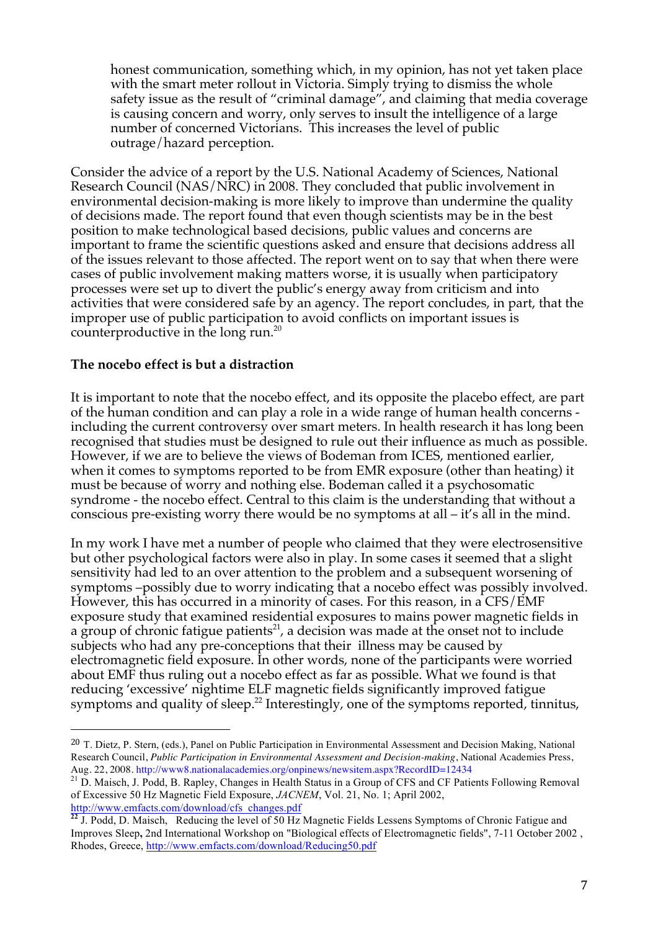honest communication, something which, in my opinion, has not yet taken place with the smart meter rollout in Victoria. Simply trying to dismiss the whole safety issue as the result of "criminal damage", and claiming that media coverage is causing concern and worry, only serves to insult the intelligence of a large number of concerned Victorians. This increases the level of public outrage/hazard perception.

Consider the advice of a report by the U.S. National Academy of Sciences, National Research Council (NAS/NRC) in 2008. They concluded that public involvement in environmental decision-making is more likely to improve than undermine the quality of decisions made. The report found that even though scientists may be in the best position to make technological based decisions, public values and concerns are important to frame the scientific questions asked and ensure that decisions address all of the issues relevant to those affected. The report went on to say that when there were cases of public involvement making matters worse, it is usually when participatory processes were set up to divert the public's energy away from criticism and into activities that were considered safe by an agency. The report concludes, in part, that the improper use of public participation to avoid conflicts on important issues is counterproductive in the long run.20

## The nocebo effect is but a distraction

!!!!!!!!!!!!!!!!!!!!!!!!!!!!!!!!!!!!!!!!!!!!!!!!!!!!!!!

It is important to note that the nocebo effect, and its opposite the placebo effect, are part of the human condition and can play a role in a wide range of human health concerns including the current controversy over smart meters. In health research it has long been recognised that studies must be designed to rule out their influence as much as possible. However, if we are to believe the views of Bodeman from ICES, mentioned earlier, when it comes to symptoms reported to be from EMR exposure (other than heating) it must be because of worry and nothing else. Bodeman called it a psychosomatic syndrome - the nocebo effect. Central to this claim is the understanding that without a conscious pre-existing worry there would be no symptoms at all – it's all in the mind.

In my work I have met a number of people who claimed that they were electrosensitive but other psychological factors were also in play. In some cases it seemed that a slight sensitivity had led to an over attention to the problem and a subsequent worsening of symptoms –possibly due to worry indicating that a nocebo effect was possibly involved. However, this has occurred in a minority of cases. For this reason, in a CFS/EMF exposure study that examined residential exposures to mains power magnetic fields in a group of chronic fatigue patients<sup>21</sup>, a decision was made at the onset not to include subjects who had any pre-conceptions that their illness may be caused by electromagnetic field exposure. In other words, none of the participants were worried about EMF thus ruling out a nocebo effect as far as possible. What we found is that reducing 'excessive' nightime ELF magnetic fields significantly improved fatigue symptoms and quality of sleep.<sup>22</sup> Interestingly, one of the symptoms reported, tinnitus,

<sup>20</sup> T. Dietz, P. Stern, (eds.), Panel on Public Participation in Environmental Assessment and Decision Making, National Research Council, *Public Participation in Environmental Assessment and Decision-making*, National Academies Press,<br>Aug. 22, 2008. http://www8.nationalacademies.org/onpinews/newsitem.aspx?RecordID=12434

<sup>&</sup>lt;sup>21</sup> D. Maisch, J. Podd, B. Rapley, Changes in Health Status in a Group of CFS and CF Patients Following Removal of Excessive 50 Hz Magnetic Field Exposure, *JACNEM*, Vol. 21, No. 1; April 2002, http://www.emfacts.com/download/cfs\_changes.pdf

**<sup>22</sup>** J. Podd, D. Maisch, Reducing the level of 50 Hz Magnetic Fields Lessens Symptoms of Chronic Fatigue and 200 Improves Sleep**,** 2nd International Workshop on "Biological effects of Electromagnetic fields", 7-11 October 2002 , Rhodes, Greece, http://www.emfacts.com/download/Reducing50.pdf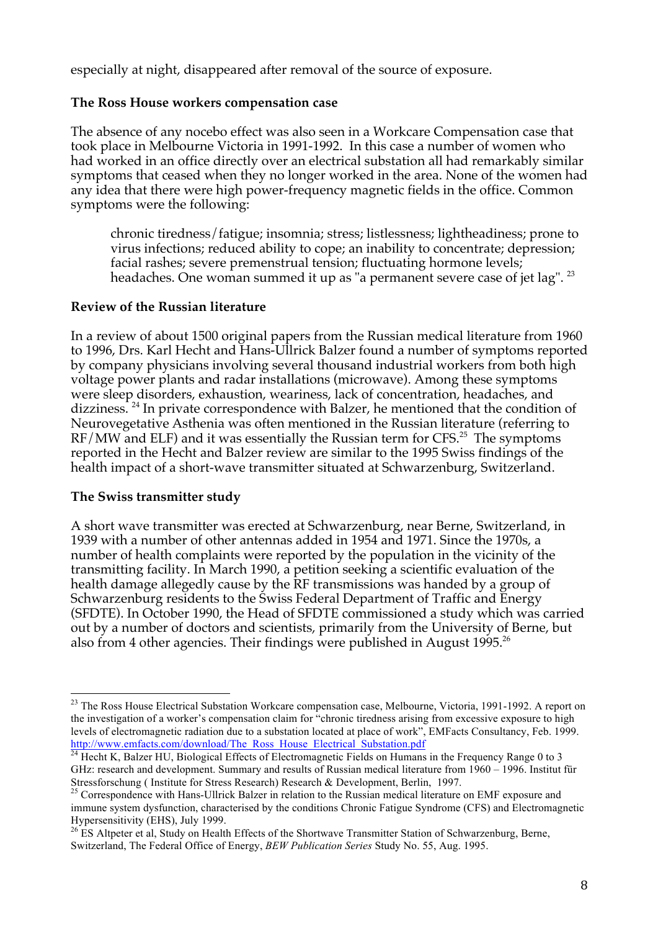especially at night, disappeared after removal of the source of exposure.

## **The Ross House workers compensation case**

The absence of any nocebo effect was also seen in a Workcare Compensation case that took place in Melbourne Victoria in 1991-1992. In this case a number of women who had worked in an office directly over an electrical substation all had remarkably similar symptoms that ceased when they no longer worked in the area. None of the women had any idea that there were high power-frequency magnetic fields in the office. Common symptoms were the following:

chronic tiredness/fatigue; insomnia; stress; listlessness; lightheadiness; prone to virus infections; reduced ability to cope; an inability to concentrate; depression; facial rashes; severe premenstrual tension; fluctuating hormone levels; headaches. One woman summed it up as "a permanent severe case of jet lag". <sup>23</sup>

## **Review of the Russian literature**

In a review of about 1500 original papers from the Russian medical literature from 1960 to 1996, Drs. Karl Hecht and Hans-Ullrick Balzer found a number of symptoms reported by company physicians involving several thousand industrial workers from both high voltage power plants and radar installations (microwave). Among these symptoms were sleep disorders, exhaustion, weariness, lack of concentration, headaches, and dizziness.<sup>24</sup> In private correspondence with Balzer, he mentioned that the condition of Neurovegetative Asthenia was often mentioned in the Russian literature (referring to  $RF/MW$  and ELF) and it was essentially the Russian term for CFS.<sup>25</sup> The symptoms reported in the Hecht and Balzer review are similar to the 1995 Swiss findings of the health impact of a short-wave transmitter situated at Schwarzenburg, Switzerland.

### **The Swiss transmitter study**

A short wave transmitter was erected at Schwarzenburg, near Berne, Switzerland, in 1939 with a number of other antennas added in 1954 and 1971. Since the 1970s, a number of health complaints were reported by the population in the vicinity of the transmitting facility. In March 1990, a petition seeking a scientific evaluation of the health damage allegedly cause by the RF transmissions was handed by a group of Schwarzenburg residents to the Swiss Federal Department of Traffic and Energy (SFDTE). In October 1990, the Head of SFDTE commissioned a study which was carried out by a number of doctors and scientists, primarily from the University of Berne, but also from 4 other agencies. Their findings were published in August 1995.<sup>26</sup>

<sup>&</sup>lt;sup>23</sup> The Ross House Electrical Substation Workcare compensation case, Melbourne, Victoria, 1991-1992. A report on the investigation of a worker's compensation claim for "chronic tiredness arising from excessive exposure to high levels of electromagnetic radiation due to a substation located at place of work", EMFacts Consultancy, Feb. 1999. http://www.emfacts.com/download/The\_Ross\_House\_Electrical\_Substation.pdf

<sup>&</sup>lt;sup>24</sup> Hecht K, Balzer HU, Biological Effects of Electromagnetic Fields on Humans in the Frequency Range 0 to 3 GHz: research and development. Summary and results of Russian medical literature from 1960 – 1996. Institut für

Stressforschung ( Institute for Stress Research) Research & Development, Berlin, 1997. <sup>25</sup> Correspondence with Hans-Ullrick Balzer in relation to the Russian medical literature on EMF exposure and immune system dysfunction, characterised by the conditions Chronic Fatigue Syndrome (CFS) and Electromagnetic Hypersensitivity (EHS), July 1999.

<sup>&</sup>lt;sup>26</sup> ES Altpeter et al, Study on Health Effects of the Shortwave Transmitter Station of Schwarzenburg, Berne, Switzerland, The Federal Office of Energy, *BEW Publication Series* Study No. 55, Aug. 1995.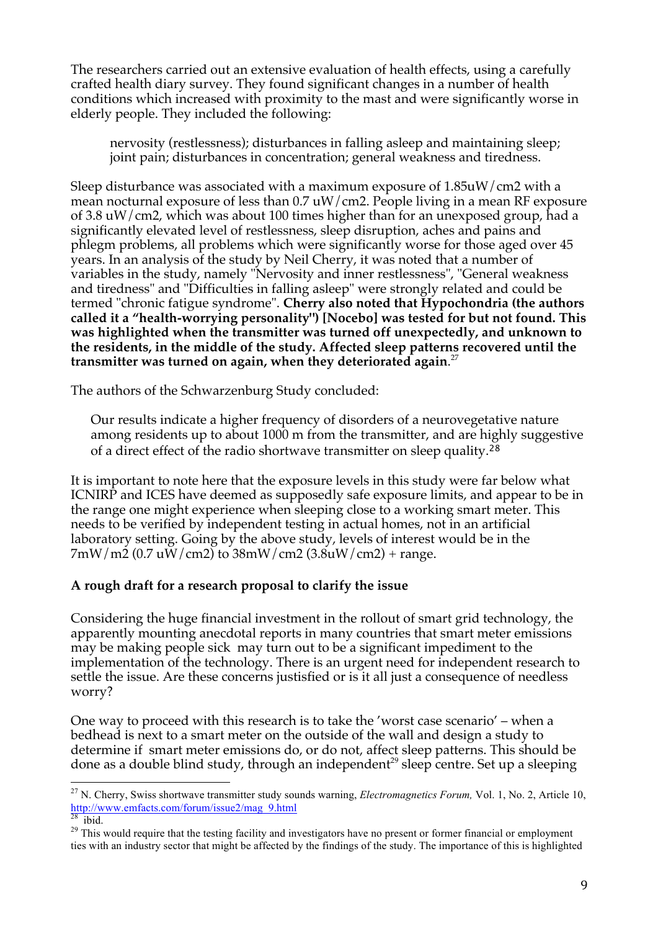The researchers carried out an extensive evaluation of health effects, using a carefully crafted health diary survey. They found significant changes in a number of health conditions which increased with proximity to the mast and were significantly worse in elderly people. They included the following:

nervosity (restlessness); disturbances in falling asleep and maintaining sleep; joint pain; disturbances in concentration; general weakness and tiredness.

Sleep disturbance was associated with a maximum exposure of 1.85uW/cm2 with a mean nocturnal exposure of less than 0.7 uW/cm2. People living in a mean RF exposure of 3.8 uW/cm2, which was about 100 times higher than for an unexposed group, had a significantly elevated level of restlessness, sleep disruption, aches and pains and phlegm problems, all problems which were significantly worse for those aged over 45 years. In an analysis of the study by Neil Cherry, it was noted that a number of variables in the study, namely "Nervosity and inner restlessness", "General weakness and tiredness" and "Difficulties in falling asleep" were strongly related and could be termed "chronic fatigue syndrome". **Cherry also noted that Hypochondria (the authors called it a "health-worrying personality") [Nocebo] was tested for but not found. This was highlighted when the transmitter was turned off unexpectedly, and unknown to the residents, in the middle of the study. Affected sleep patterns recovered until the transmitter was turned on again, when they deteriorated again**. 27

The authors of the Schwarzenburg Study concluded:

Our results indicate a higher frequency of disorders of a neurovegetative nature among residents up to about 1000 m from the transmitter, and are highly suggestive of a direct effect of the radio shortwave transmitter on sleep quality.<sup>28</sup>

It is important to note here that the exposure levels in this study were far below what ICNIRP and ICES have deemed as supposedly safe exposure limits, and appear to be in the range one might experience when sleeping close to a working smart meter. This needs to be verified by independent testing in actual homes, not in an artificial laboratory setting. Going by the above study, levels of interest would be in the  $7 \text{mW/m2}$  (0.7 uW/cm2) to 38mW/cm2 (3.8uW/cm2) + range.

# A rough draft for a research proposal to clarify the issue

Considering the huge financial investment in the rollout of smart grid technology, the apparently mounting anecdotal reports in many countries that smart meter emissions may be making people sick may turn out to be a significant impediment to the implementation of the technology. There is an urgent need for independent research to settle the issue. Are these concerns justisfied or is it all just a consequence of needless worry?

One way to proceed with this research is to take the 'worst case scenario' – when a bedhead is next to a smart meter on the outside of the wall and design a study to determine if smart meter emissions do, or do not, affect sleep patterns. This should be done as a double blind study, through an independent<sup>29</sup> sleep centre. Set up a sleeping

<sup>&</sup>lt;sup>27</sup> N. Cherry, Swiss shortwave transmitter study sounds warning, *Electromagnetics Forum*, Vol. 1, No. 2, Article 10, http://www.emfacts.com/forum/issue2/mag\_9.html

<sup>&</sup>lt;sup>28</sup> ibid. <sup>29</sup> This would require that the testing facility and investigators have no present or former financial or employment ties with an industry sector that might be affected by the findings of the study. The importance of this is highlighted